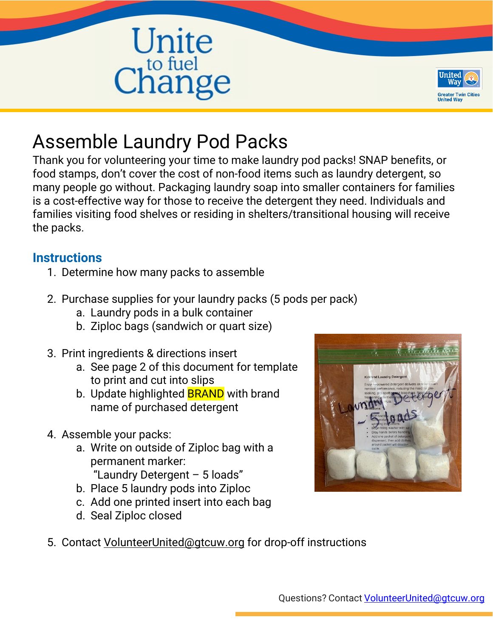



# Assemble Laundry Pod Packs

Thank you for volunteering your time to make laundry pod packs! SNAP benefits, or food stamps, don't cover the cost of non-food items such as laundry detergent, so many people go without. Packaging laundry soap into smaller containers for families is a cost-effective way for those to receive the detergent they need. Individuals and families visiting food shelves or residing in shelters/transitional housing will receive the packs.

# **Instructions**

- 1. Determine how many packs to assemble
- 2. Purchase supplies for your laundry packs (5 pods per pack)
	- a. Laundry pods in a bulk container
	- b. Ziploc bags (sandwich or quart size)
- 3. Print ingredients & directions insert
	- a. See page 2 of this document for template to print and cut into slips
	- b. Update highlighted **BRAND** with brand name of purchased detergent
- 4. Assemble your packs:
	- a. Write on outside of Ziploc bag with a permanent marker: "Laundry Detergent – 5 loads"
		-
	- b. Place 5 laundry pods into Ziploc
	- c. Add one printed insert into each bag
	- d. Seal Ziploc closed



5. Contact [VolunteerUnited@gtcuw.org](mailto:VolunteerUnited@gtcuw.org) for drop-off instructions